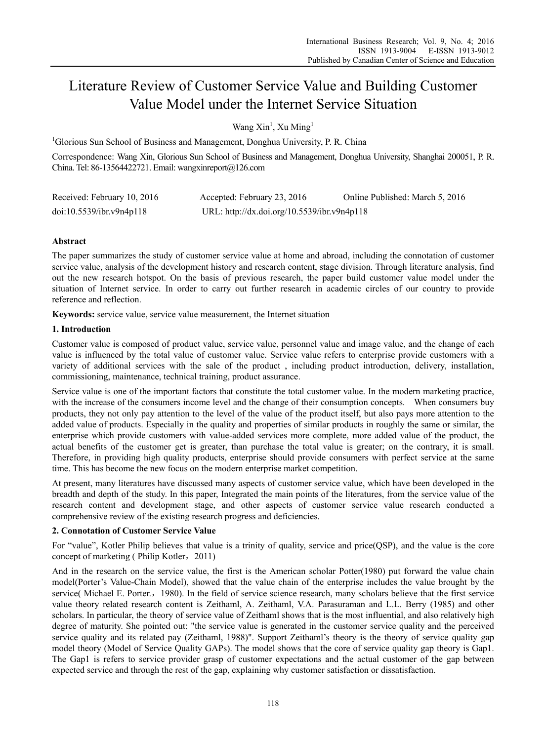# Literature Review of Customer Service Value and Building Customer Value Model under the Internet Service Situation

Wang Xin<sup>1</sup>, Xu Ming<sup>1</sup>

<sup>1</sup>Glorious Sun School of Business and Management, Donghua University, P. R. China

Correspondence: Wang Xin, Glorious Sun School of Business and Management, Donghua University, Shanghai 200051, P. R. China. Tel: 86-13564422721. Email: wangxinreport@126.com

| Received: February 10, 2016 | Accepted: February 23, 2016                 | Online Published: March 5, 2016 |
|-----------------------------|---------------------------------------------|---------------------------------|
| doi:10.5539/ibr.v9n4p118    | URL: http://dx.doi.org/10.5539/ibr.v9n4p118 |                                 |

# **Abstract**

The paper summarizes the study of customer service value at home and abroad, including the connotation of customer service value, analysis of the development history and research content, stage division. Through literature analysis, find out the new research hotspot. On the basis of previous research, the paper build customer value model under the situation of Internet service. In order to carry out further research in academic circles of our country to provide reference and reflection.

**Keywords:** service value, service value measurement, the Internet situation

## **1. Introduction**

Customer value is composed of product value, service value, personnel value and image value, and the change of each value is influenced by the total value of customer value. Service value refers to enterprise provide customers with a variety of additional services with the sale of the product , including product introduction, delivery, installation, commissioning, maintenance, technical training, product assurance.

Service value is one of the important factors that constitute the total customer value. In the modern marketing practice, with the increase of the consumers income level and the change of their consumption concepts. When consumers buy products, they not only pay attention to the level of the value of the product itself, but also pays more attention to the added value of products. Especially in the quality and properties of similar products in roughly the same or similar, the enterprise which provide customers with value-added services more complete, more added value of the product, the actual benefits of the customer get is greater, than purchase the total value is greater; on the contrary, it is small. Therefore, in providing high quality products, enterprise should provide consumers with perfect service at the same time. This has become the new focus on the modern enterprise market competition.

At present, many literatures have discussed many aspects of customer service value, which have been developed in the breadth and depth of the study. In this paper, Integrated the main points of the literatures, from the service value of the research content and development stage, and other aspects of customer service value research conducted a comprehensive review of the existing research progress and deficiencies.

# **2. Connotation of Customer Service Value**

For "value", Kotler Philip believes that value is a trinity of quality, service and price(QSP), and the value is the core concept of marketing (Philip Kotler, 2011)

And in the research on the service value, the first is the American scholar Potter(1980) put forward the value chain model(Porter's Value-Chain Model), showed that the value chain of the enterprise includes the value brought by the service( Michael E. Porter., 1980). In the field of service science research, many scholars believe that the first service value theory related research content is Zeithaml, A. Zeithaml, V.A. Parasuraman and L.L. Berry (1985) and other scholars. In particular, the theory of service value of Zeithaml shows that is the most influential, and also relatively high degree of maturity. She pointed out: "the service value is generated in the customer service quality and the perceived service quality and its related pay (Zeithaml, 1988)". Support Zeithaml's theory is the theory of service quality gap model theory (Model of Service Quality GAPs). The model shows that the core of service quality gap theory is Gap1. The Gap1 is refers to service provider grasp of customer expectations and the actual customer of the gap between expected service and through the rest of the gap, explaining why customer satisfaction or dissatisfaction.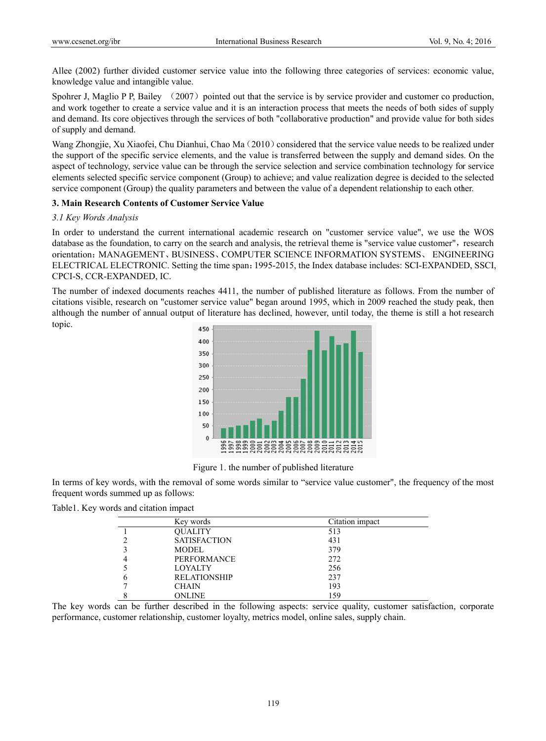Allee (2002) further divided customer service value into the following three categories of services: economic value, knowledge value and intangible value.

Spohrer J, Maglio P P, Bailey (2007) pointed out that the service is by service provider and customer co production, and work together to create a service value and it is an interaction process that meets the needs of both sides of supply and demand. Its core objectives through the services of both "collaborative production" and provide value for both sides of supply and demand.

Wang Zhongjie, Xu Xiaofei, Chu Dianhui, Chao Ma (2010) considered that the service value needs to be realized under the support of the specific service elements, and the value is transferred between the supply and demand sides. On the aspect of technology, service value can be through the service selection and service combination technology for service elements selected specific service component (Group) to achieve; and value realization degree is decided to the selected service component (Group) the quality parameters and between the value of a dependent relationship to each other.

## **3. Main Research Contents of Customer Service Value**

#### *3.1 Key Words s Analysis*

In order to understand the current international academic research on "customer service value", we use the WOS database as the foundation, to carry on the search and analysis, the retrieval theme is "service value customer", research orientation: MANAGEMENT、BUSINESS、COMPUTER SCIENCE INFORMATION SYSTEMS、 ENGINEERING ELECTRICAL ELECTRONIC. Setting the time span: 1995-2015, the Index database includes: SCI-EXPANDED, SSCI, CPCI-S, CCR-EXPANDED, IC.

The number of indexed documents reaches 4411, the number of published literature as follows. From the number of citations visible, research on "customer service value" began around 1995, which in 2009 reached the study peak, then although the number of annual output of literature has declined, however, until today, the theme is still a hot research topic.



Figure 1. the number of published literature

In terms of key words, with the removal of some words similar to "service value customer", the frequency of the most frequent words summed up as follows:

| Table1. Key words and citation impact |  |  |  |  |  |  |
|---------------------------------------|--|--|--|--|--|--|
|---------------------------------------|--|--|--|--|--|--|

|   | Key words           | Citation impact |
|---|---------------------|-----------------|
|   | OUALITY             | 513             |
|   | <b>SATISFACTION</b> | 431             |
|   | <b>MODEL</b>        | 379             |
|   | <b>PERFORMANCE</b>  | 272             |
|   | <b>LOYALTY</b>      | 256             |
| O | <b>RELATIONSHIP</b> | 237             |
|   | <b>CHAIN</b>        | 193             |
|   | ONLINE              | 159             |

The key words can be further described in the following aspects: service quality, customer satisfaction, corporate performance, customer relationship, customer loyalty, metrics model, online sales, supply chain.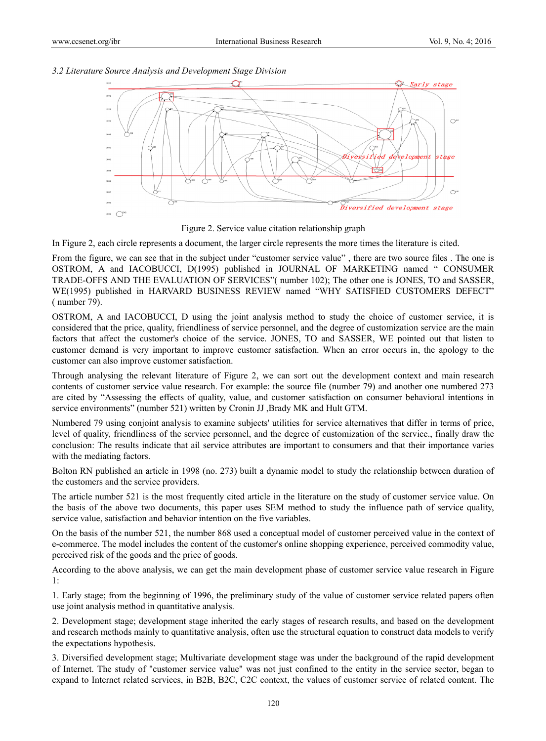#### 3.2 Literature Source Analysis and Development Stage Division



Figure 2. Service value citation relationship graph

In Figure 2, each circle represents a document, the larger circle represents the more times the literature is cited.

From the figure, we can see that in the subject under "customer service value", there are two source files. The one is OSTROM, A and IACOBUCCI, D(1995) published in JOURNAL OF MARKETING named "CONSUMER TRADE-OFFS AND THE EVALUATION OF SERVICES"(number 102); The other one is JONES, TO and SASSER, WE(1995) published in HARVARD BUSINESS REVIEW named "WHY SATISFIED CUSTOMERS DEFECT"  $(mumber 79)$ .

OSTROM, A and IACOBUCCI, D using the joint analysis method to study the choice of customer service, it is considered that the price, quality, friendliness of service personnel, and the degree of customization service are the main factors that affect the customer's choice of the service. JONES, TO and SASSER, WE pointed out that listen to customer demand is very important to improve customer satisfaction. When an error occurs in, the apology to the customer can also improve customer satisfaction.

Through analysing the relevant literature of Figure 2, we can sort out the development context and main research contents of customer service value research. For example: the source file (number 79) and another one numbered 273 are cited by "Assessing the effects of quality, value, and customer satisfaction on consumer behavioral intentions in service environments" (number 521) written by Cronin JJ , Brady MK and Hult GTM.

Numbered 79 using conjoint analysis to examine subjects' utilities for service alternatives that differ in terms of price, level of quality, friendliness of the service personnel, and the degree of customization of the service., finally draw the conclusion: The results indicate that ail service attributes are important to consumers and that their importance varies with the mediating factors.

Bolton RN published an article in 1998 (no. 273) built a dynamic model to study the relationship between duration of the customers and the service providers.

The article number 521 is the most frequently cited article in the literature on the study of customer service value. On the basis of the above two documents, this paper uses SEM method to study the influence path of service quality, service value, satisfaction and behavior intention on the five variables.

On the basis of the number 521, the number 868 used a conceptual model of customer perceived value in the context of e-commerce. The model includes the content of the customer's online shopping experience, perceived commodity value, perceived risk of the goods and the price of goods.

According to the above analysis, we can get the main development phase of customer service value research in Figure  $1:$ 

1. Early stage; from the beginning of 1996, the preliminary study of the value of customer service related papers often use joint analysis method in quantitative analysis.

2. Development stage; development stage inherited the early stages of research results, and based on the development and research methods mainly to quantitative analysis, often use the structural equation to construct data models to verify the expectations hypothesis.

3. Diversified development stage; Multivariate development stage was under the background of the rapid development of Internet. The study of "customer service value" was not just confined to the entity in the service sector, began to expand to Internet related services, in B2B, B2C, C2C context, the values of customer service of related content. The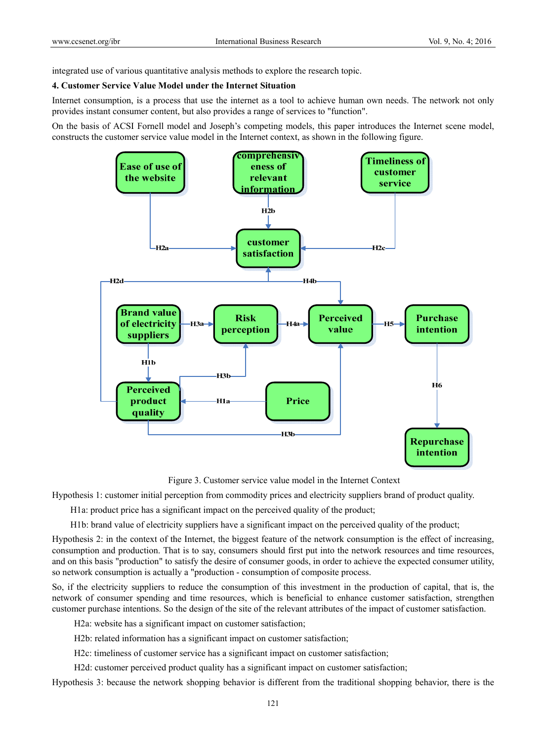integrated use of various quantitative analysis methods to explore the research topic.

#### **4. Customer Service Value Model under the Internet Situation**

Internet consumption, is a process that use the internet as a tool to achieve human own needs. The network not only provides instant consumer content, but also provides a range of services to "function".

On the basis of ACSI Fornell model and Joseph's competing models, this paper introduces the Internet scene model, constructs the customer service value model in the Internet context, as shown in the following figure.



Figure 3. Customer service value model in the Internet Context

Hypothesis 1: customer initial perception from commodity prices and electricity suppliers brand of product quality.

H1a: product price has a significant impact on the perceived quality of the product;

H1b: brand value of electricity suppliers have a significant impact on the perceived quality of the product;

Hypothesis 2: in the context of the Internet, the biggest feature of the network consumption is the effect of increasing, consumption and production. That is to say, consumers should first put into the network resources and time resources, and on this basis "production" to satisfy the desire of consumer goods, in order to achieve the expected consumer utility, so network consumption is actually a "production - consumption of composite process.

So, if the electricity suppliers to reduce the consumption of this investment in the production of capital, that is, the network of consumer spending and time resources, which is beneficial to enhance customer satisfaction, strengthen customer purchase intentions. So the design of the site of the relevant attributes of the impact of customer satisfaction.

H2a: website has a significant impact on customer satisfaction;

H2b: related information has a significant impact on customer satisfaction;

H2c: timeliness of customer service has a significant impact on customer satisfaction;

H2d: customer perceived product quality has a significant impact on customer satisfaction;

Hypothesis 3: because the network shopping behavior is different from the traditional shopping behavior, there is the